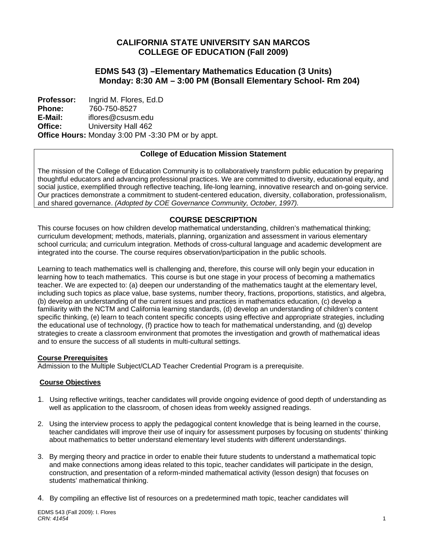# **CALIFORNIA STATE UNIVERSITY SAN MARCOS COLLEGE OF EDUCATION (Fall 2009)**

# **EDMS 543 (3) –Elementary Mathematics Education (3 Units) Monday: 8:30 AM – 3:00 PM (Bonsall Elementary School- Rm 204)**

 **Office: Professor: Phone: E-Mail:**  Ingrid M. Flores, Ed.D 760-750-8527 iflores@csusm.edu University Hall 462 **Office Hours:** Monday 3:00 PM -3:30 PM or by appt.

# **College of Education Mission Statement**

The mission of the College of Education Community is to collaboratively transform public education by preparing thoughtful educators and advancing professional practices. We are committed to diversity, educational equity, and social justice, exemplified through reflective teaching, life-long learning, innovative research and on-going service. Our practices demonstrate a commitment to student-centered education, diversity, collaboration, professionalism, and shared governance. *(Adopted by COE Governance Community, October, 1997).* 

# **COURSE DESCRIPTION**

This course focuses on how children develop mathematical understanding, children's mathematical thinking; curriculum development; methods, materials, planning, organization and assessment in various elementary school curricula; and curriculum integration. Methods of cross-cultural language and academic development are integrated into the course. The course requires observation/participation in the public schools.

Learning to teach mathematics well is challenging and, therefore, this course will only begin your education in learning how to teach mathematics. This course is but one stage in your process of becoming a mathematics teacher. We are expected to: (a) deepen our understanding of the mathematics taught at the elementary level, including such topics as place value, base systems, number theory, fractions, proportions, statistics, and algebra, (b) develop an understanding of the current issues and practices in mathematics education, (c) develop a familiarity with the NCTM and California learning standards, (d) develop an understanding of children's content specific thinking, (e) learn to teach content specific concepts using effective and appropriate strategies, including the educational use of technology, (f) practice how to teach for mathematical understanding, and (g) develop strategies to create a classroom environment that promotes the investigation and growth of mathematical ideas and to ensure the success of all students in multi-cultural settings.

### **Course Prerequisites**

Admission to the Multiple Subject/CLAD Teacher Credential Program is a prerequisite.

## **Course Objectives**

- 1. Using reflective writings, teacher candidates will provide ongoing evidence of good depth of understanding as well as application to the classroom, of chosen ideas from weekly assigned readings.
- 2. Using the interview process to apply the pedagogical content knowledge that is being learned in the course, teacher candidates will improve their use of inquiry for assessment purposes by focusing on students' thinking about mathematics to better understand elementary level students with different understandings.
- 3. By merging theory and practice in order to enable their future students to understand a mathematical topic and make connections among ideas related to this topic, teacher candidates will participate in the design, construction, and presentation of a reform-minded mathematical activity (lesson design) that focuses on students' mathematical thinking.
- 4. By compiling an effective list of resources on a predetermined math topic, teacher candidates will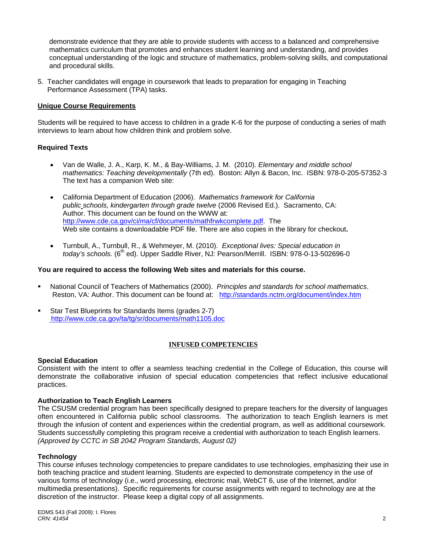demonstrate evidence that they are able to provide students with access to a balanced and comprehensive mathematics curriculum that promotes and enhances student learning and understanding, and provides conceptual understanding of the logic and structure of mathematics, problem-solving skills, and computational and procedural skills.

 5. Teacher candidates will engage in coursework that leads to preparation for engaging in Teaching Performance Assessment (TPA) tasks.

## **Unique Course Requirements**

Students will be required to have access to children in a grade K-6 for the purpose of conducting a series of math interviews to learn about how children think and problem solve.

### **Required Texts**

- Van de Walle, J. A., Karp, K. M., & Bay-Williams, J. M. (2010). *Elementary and middle school mathematics: Teaching developmentally* (7th ed). Boston: Allyn & Bacon, Inc. ISBN: 978-0-205-57352-3 The text has a companion Web site:
- • California Department of Education (2006). *Mathematics framework for California public schools, kindergarten through grade twelve* (2006 Revised Ed.). Sacramento, CA: Author. This document can be found on the WWW at: http://www.cde.ca.gov/ci/ma/cf/documents/mathfrwkcomplete.pdf. The Web site contains a downloadable PDF file. There are also copies in the library for checkout**.**
- • Turnbull, A., Turnbull, R., & Wehmeyer, M. (2010). *Exceptional lives: Special education in today's schools.* (6<sup>th</sup> ed). Upper Saddle River, NJ: Pearson/Merrill. ISBN: 978-0-13-502696-0

### **You are required to access the following Web sites and materials for this course.**

- National Council of Teachers of Mathematics (2000). *Principles and standards for school mathematics*. Reston, VA: Author. This document can be found at: http://standards.nctm.org/document/index.htm
- **Star Test Blueprints for Standards Items (grades 2-7)** http://www.cde.ca.gov/ta/tg/sr/documents/math1105.doc

### **INFUSED COMPETENCIES**

### **Special Education**

Consistent with the intent to offer a seamless teaching credential in the College of Education, this course will demonstrate the collaborative infusion of special education competencies that reflect inclusive educational practices.

### **Authorization to Teach English Learners**

 through the infusion of content and experiences within the credential program, as well as additional coursework. The CSUSM credential program has been specifically designed to prepare teachers for the diversity of languages often encountered in California public school classrooms. The authorization to teach English learners is met Students successfully completing this program receive a credential with authorization to teach English learners. *(Approved by CCTC in SB 2042 Program Standards, August 02)* 

### **Technology**

This course infuses technology competencies to prepare candidates to use technologies, emphasizing their use in both teaching practice and student learning. Students are expected to demonstrate competency in the use of various forms of technology (i.e., word processing, electronic mail, WebCT 6, use of the Internet, and/or multimedia presentations). Specific requirements for course assignments with regard to technology are at the discretion of the instructor. Please keep a digital copy of all assignments.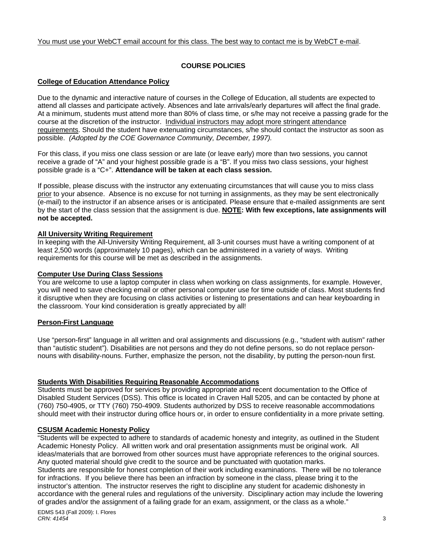### You must use your WebCT email account for this class. The best way to contact me is by WebCT e-mail.

# **COURSE POLICIES**

# **College of Education Attendance Policy**

 possible. *(Adopted by the COE Governance Community, December, 1997).* Due to the dynamic and interactive nature of courses in the College of Education, all students are expected to attend all classes and participate actively. Absences and late arrivals/early departures will affect the final grade. At a minimum, students must attend more than 80% of class time, or s/he may not receive a passing grade for the course at the discretion of the instructor. Individual instructors may adopt more stringent attendance requirements. Should the student have extenuating circumstances, s/he should contact the instructor as soon as

For this class, if you miss one class session or are late (or leave early) more than two sessions, you cannot receive a grade of "A" and your highest possible grade is a "B". If you miss two class sessions, your highest possible grade is a "C+". **Attendance will be taken at each class session.** 

If possible, please discuss with the instructor any extenuating circumstances that will cause you to miss class prior to your absence. Absence is no excuse for not turning in assignments, as they may be sent electronically (e-mail) to the instructor if an absence arises or is anticipated. Please ensure that e-mailed assignments are sent by the start of the class session that the assignment is due. **NOTE: With few exceptions, late assignments will not be accepted.** 

## **All University Writing Requirement**

In keeping with the All-University Writing Requirement, all 3-unit courses must have a writing component of at least 2,500 words (approximately 10 pages), which can be administered in a variety of ways. Writing requirements for this course will be met as described in the assignments.

# **Computer Use During Class Sessions**

You are welcome to use a laptop computer in class when working on class assignments, for example. However, you will need to save checking email or other personal computer use for time outside of class. Most students find it disruptive when they are focusing on class activities or listening to presentations and can hear keyboarding in the classroom. Your kind consideration is greatly appreciated by all!

## **Person-First Language**

Use "person-first" language in all written and oral assignments and discussions (e.g., "student with autism" rather than "autistic student"). Disabilities are not persons and they do not define persons, so do not replace personnouns with disability-nouns. Further, emphasize the person, not the disability, by putting the person-noun first.

# **Students With Disabilities Requiring Reasonable Accommodations**

Students must be approved for services by providing appropriate and recent documentation to the Office of Disabled Student Services (DSS). This office is located in Craven Hall 5205, and can be contacted by phone at (760) 750-4905, or TTY (760) 750-4909. Students authorized by DSS to receive reasonable accommodations should meet with their instructor during office hours or, in order to ensure confidentiality in a more private setting.

## **CSUSM Academic Honesty Policy**

"Students will be expected to adhere to standards of academic honesty and integrity, as outlined in the Student Academic Honesty Policy. All written work and oral presentation assignments must be original work. All ideas/materials that are borrowed from other sources must have appropriate references to the original sources. Any quoted material should give credit to the source and be punctuated with quotation marks. Students are responsible for honest completion of their work including examinations. There will be no tolerance for infractions. If you believe there has been an infraction by someone in the class, please bring it to the instructor's attention. The instructor reserves the right to discipline any student for academic dishonesty in accordance with the general rules and regulations of the university. Disciplinary action may include the lowering of grades and/or the assignment of a failing grade for an exam, assignment, or the class as a whole."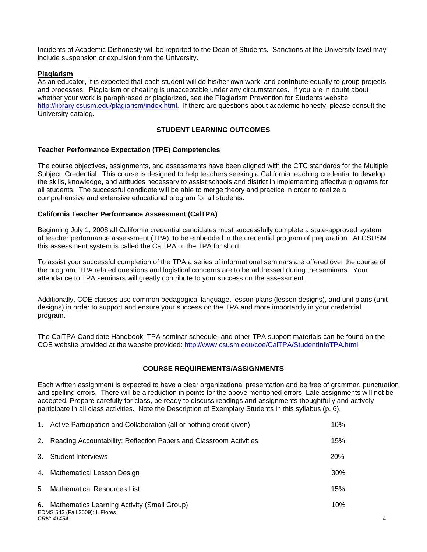Incidents of Academic Dishonesty will be reported to the Dean of Students. Sanctions at the University level may include suspension or expulsion from the University.

### **Plagiarism**

As an educator, it is expected that each student will do his/her own work, and contribute equally to group projects and processes. Plagiarism or cheating is unacceptable under any circumstances. If you are in doubt about whether your work is paraphrased or plagiarized, see the Plagiarism Prevention for Students website http://library.csusm.edu/plagiarism/index.html. If there are questions about academic honesty, please consult the University catalog.

## **STUDENT LEARNING OUTCOMES**

### **Teacher Performance Expectation (TPE) Competencies**

The course objectives, assignments, and assessments have been aligned with the CTC standards for the Multiple Subject, Credential. This course is designed to help teachers seeking a California teaching credential to develop the skills, knowledge, and attitudes necessary to assist schools and district in implementing effective programs for all students. The successful candidate will be able to merge theory and practice in order to realize a comprehensive and extensive educational program for all students.

### **California Teacher Performance Assessment (CalTPA)**

Beginning July 1, 2008 all California credential candidates must successfully complete a state-approved system of teacher performance assessment (TPA), to be embedded in the credential program of preparation. At CSUSM, this assessment system is called the CalTPA or the TPA for short.

To assist your successful completion of the TPA a series of informational seminars are offered over the course of the program. TPA related questions and logistical concerns are to be addressed during the seminars. Your attendance to TPA seminars will greatly contribute to your success on the assessment.

Additionally, COE classes use common pedagogical language, lesson plans (lesson designs), and unit plans (unit designs) in order to support and ensure your success on the TPA and more importantly in your credential program.

The CalTPA Candidate Handbook, TPA seminar schedule, and other TPA support materials can be found on the COE website provided at the website provided: http://www.csusm.edu/coe/CalTPA/StudentInfoTPA.html

## **COURSE REQUIREMENTS/ASSIGNMENTS**

Each written assignment is expected to have a clear organizational presentation and be free of grammar, punctuation and spelling errors. There will be a reduction in points for the above mentioned errors. Late assignments will not be accepted. Prepare carefully for class, be ready to discuss readings and assignments thoughtfully and actively participate in all class activities. Note the Description of Exemplary Students in this syllabus (p. 6).

| 1. | Active Participation and Collaboration (all or nothing credit given)           | 10%        |
|----|--------------------------------------------------------------------------------|------------|
| 2. | Reading Accountability: Reflection Papers and Classroom Activities             | 15%        |
| 3. | <b>Student Interviews</b>                                                      | 20%        |
|    | 4. Mathematical Lesson Design                                                  | <b>30%</b> |
| 5. | Mathematical Resources List                                                    | 15%        |
| 6. | Mathematics Learning Activity (Small Group)<br>EDMS 543 (Fall 2009): I. Flores | 10%        |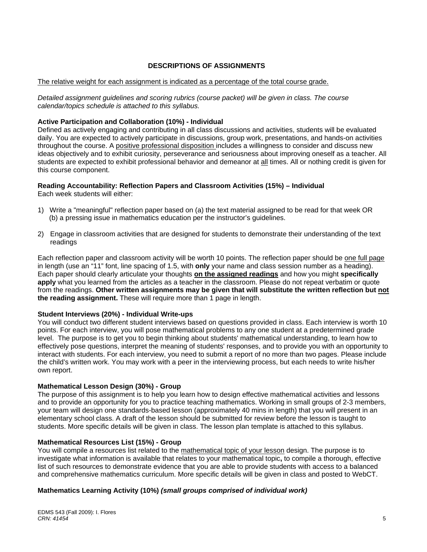# **DESCRIPTIONS OF ASSIGNMENTS**

### The relative weight for each assignment is indicated as a percentage of the total course grade.

*Detailed assignment guidelines and scoring rubrics (course packet) will be given in class. The course calendar/topics schedule is attached to this syllabus.* 

### **Active Participation and Collaboration (10%) - Individual**

Defined as actively engaging and contributing in all class discussions and activities, students will be evaluated daily. You are expected to actively participate in discussions, group work, presentations, and hands-on activities throughout the course. A positive professional disposition includes a willingness to consider and discuss new ideas objectively and to exhibit curiosity, perseverance and seriousness about improving oneself as a teacher. All students are expected to exhibit professional behavior and demeanor at all times. All or nothing credit is given for this course component.

## **Reading Accountability: Reflection Papers and Classroom Activities (15%) – Individual**

Each week students will either:

- 1) Write a "meaningful" reflection paper based on (a) the text material assigned to be read for that week OR (b) a pressing issue in mathematics education per the instructor's guidelines.
- 2) Engage in classroom activities that are designed for students to demonstrate their understanding of the text readings

Each reflection paper and classroom activity will be worth 10 points. The reflection paper should be one full page in length (use an "11" font, line spacing of 1.5, with **only** your name and class session number as a heading). Each paper should clearly articulate your thoughts **on the assigned readings** and how you might **specifically apply** what you learned from the articles as a teacher in the classroom. Please do not repeat verbatim or quote from the readings. **Other written assignments may be given that will substitute the written reflection but not the reading assignment.** These will require more than 1 page in length.

### **Student Interviews (20%) - Individual Write-ups**

You will conduct two different student interviews based on questions provided in class. Each interview is worth 10 points. For each interview, you will pose mathematical problems to any one student at a predetermined grade level. The purpose is to get you to begin thinking about students' mathematical understanding, to learn how to effectively pose questions, interpret the meaning of students' responses, and to provide you with an opportunity to interact with students. For each interview, you need to submit a report of no more than two pages. Please include the child's written work. You may work with a peer in the interviewing process, but each needs to write his/her own report.

### **Mathematical Lesson Design (30%) - Group**

The purpose of this assignment is to help you learn how to design effective mathematical activities and lessons and to provide an opportunity for you to practice teaching mathematics. Working in small groups of 2-3 members, your team will design one standards-based lesson (approximately 40 mins in length) that you will present in an elementary school class. A draft of the lesson should be submitted for review before the lesson is taught to students. More specific details will be given in class. The lesson plan template is attached to this syllabus.

### **Mathematical Resources List (15%) - Group**

You will compile a resources list related to the mathematical topic of your lesson design. The purpose is to investigate what information is available that relates to your mathematical topic**,** to compile a thorough, effective list of such resources to demonstrate evidence that you are able to provide students with access to a balanced and comprehensive mathematics curriculum. More specific details will be given in class and posted to WebCT.

## **Mathematics Learning Activity (10%)** *(small groups comprised of individual work)*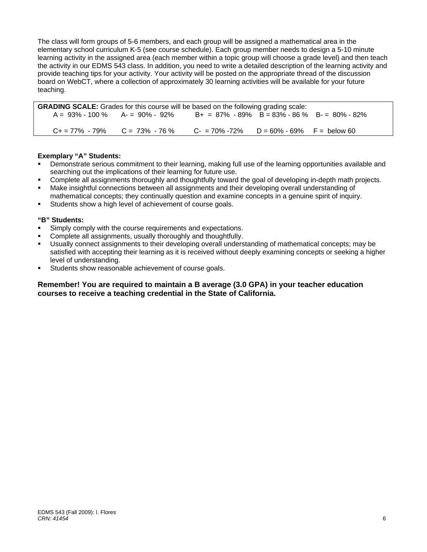The class will form groups of 5-6 members, and each group will be assigned a mathematical area in the elementary school curriculum K-5 (see course schedule). Each group member needs to design a 5-10 minute learning activity in the assigned area (each member within a topic group will choose a grade level) and then teach the activity in our EDMS 543 class. In addition, you need to write a detailed description of the learning activity and provide teaching tips for your activity. Your activity will be posted on the appropriate thread of the discussion board on WebCT, where a collection of approximately 30 learning activities will be available for your future teaching.

| <b>GRADING SCALE:</b> Grades for this course will be based on the following grading scale: |  |                                                 |  |  |
|--------------------------------------------------------------------------------------------|--|-------------------------------------------------|--|--|
| $A = 93\% - 100\%$ $A = 90\% - 92\%$                                                       |  | $B+ = 87\% - 89\%$ B = 83% - 86 % B - 80% - 82% |  |  |
|                                                                                            |  |                                                 |  |  |
| $C_+ = 77\% - 79\%$ $C = 73\% - 76\%$                                                      |  | $C - 70\% - 72\%$ D = 60% - 69% F = below 60    |  |  |

## **Exemplary "A" Students:**

- Demonstrate serious commitment to their learning, making full use of the learning opportunities available and searching out the implications of their learning for future use.
- Complete all assignments thoroughly and thoughtfully toward the goal of developing in-depth math projects.
- Make insightful connections between all assignments and their developing overall understanding of mathematical concepts; they continually question and examine concepts in a genuine spirit of inquiry.
- Students show a high level of achievement of course goals.

### **"B" Students:**

- Simply comply with the course requirements and expectations.
- Complete all assignments, usually thoroughly and thoughtfully.
- Usually connect assignments to their developing overall understanding of mathematical concepts; may be satisfied with accepting their learning as it is received without deeply examining concepts or seeking a higher level of understanding.
- Students show reasonable achievement of course goals.

### **Remember! You are required to maintain a B average (3.0 GPA) in your teacher education courses to receive a teaching credential in the State of California.**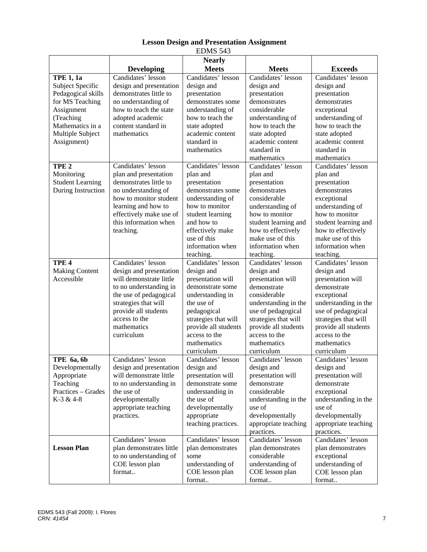| כ+כ ממותב                                                                                                                                                  |                                                                                                                                                                                                                            |                                                                                                                                                                                                                          |                                                                                                                                                                                                                                  |                                                                                                                                                                                                                                 |
|------------------------------------------------------------------------------------------------------------------------------------------------------------|----------------------------------------------------------------------------------------------------------------------------------------------------------------------------------------------------------------------------|--------------------------------------------------------------------------------------------------------------------------------------------------------------------------------------------------------------------------|----------------------------------------------------------------------------------------------------------------------------------------------------------------------------------------------------------------------------------|---------------------------------------------------------------------------------------------------------------------------------------------------------------------------------------------------------------------------------|
|                                                                                                                                                            | <b>Developing</b>                                                                                                                                                                                                          | <b>Nearly</b><br><b>Meets</b>                                                                                                                                                                                            | <b>Meets</b>                                                                                                                                                                                                                     | <b>Exceeds</b>                                                                                                                                                                                                                  |
| TPE $1, 1a$<br>Subject Specific<br>Pedagogical skills<br>for MS Teaching<br>Assignment<br>(Teaching<br>Mathematics in a<br>Multiple Subject<br>Assignment) | Candidates' lesson<br>design and presentation<br>demonstrates little to<br>no understanding of<br>how to teach the state<br>adopted academic<br>content standard in<br>mathematics                                         | Candidates' lesson<br>design and<br>presentation<br>demonstrates some<br>understanding of<br>how to teach the<br>state adopted<br>academic content<br>standard in<br>mathematics                                         | Candidates' lesson<br>design and<br>presentation<br>demonstrates<br>considerable<br>understanding of<br>how to teach the<br>state adopted<br>academic content<br>standard in<br>mathematics                                      | Candidates' lesson<br>design and<br>presentation<br>demonstrates<br>exceptional<br>understanding of<br>how to teach the<br>state adopted<br>academic content<br>standard in<br>mathematics                                      |
| TPE <sub>2</sub><br>Monitoring<br><b>Student Learning</b><br>During Instruction                                                                            | Candidates' lesson<br>plan and presentation<br>demonstrates little to<br>no understanding of<br>how to monitor student<br>learning and how to<br>effectively make use of<br>this information when<br>teaching.             | Candidates' lesson<br>plan and<br>presentation<br>demonstrates some<br>understanding of<br>how to monitor<br>student learning<br>and how to<br>effectively make<br>use of this<br>information when<br>teaching.          | Candidates' lesson<br>plan and<br>presentation<br>demonstrates<br>considerable<br>understanding of<br>how to monitor<br>student learning and<br>how to effectively<br>make use of this<br>information when<br>teaching.          | Candidates' lesson<br>plan and<br>presentation<br>demonstrates<br>exceptional<br>understanding of<br>how to monitor<br>student learning and<br>how to effectively<br>make use of this<br>information when<br>teaching.          |
| TPE <sub>4</sub><br><b>Making Content</b><br>Accessible                                                                                                    | Candidates' lesson<br>design and presentation<br>will demonstrate little<br>to no understanding in<br>the use of pedagogical<br>strategies that will<br>provide all students<br>access to the<br>mathematics<br>curriculum | Candidates' lesson<br>design and<br>presentation will<br>demonstrate some<br>understanding in<br>the use of<br>pedagogical<br>strategies that will<br>provide all students<br>access to the<br>mathematics<br>curriculum | Candidates' lesson<br>design and<br>presentation will<br>demonstrate<br>considerable<br>understanding in the<br>use of pedagogical<br>strategies that will<br>provide all students<br>access to the<br>mathematics<br>curriculum | Candidates' lesson<br>design and<br>presentation will<br>demonstrate<br>exceptional<br>understanding in the<br>use of pedagogical<br>strategies that will<br>provide all students<br>access to the<br>mathematics<br>curriculum |
| TPE 6a, 6b<br>Developmentally<br>Appropriate<br>Teaching<br>Practices – Grades<br>K-3 & 4-8                                                                | Candidates' lesson<br>design and presentation<br>will demonstrate little<br>to no understanding in<br>the use of<br>developmentally<br>appropriate teaching<br>practices.                                                  | Candidates' lesson<br>design and<br>presentation will<br>demonstrate some<br>understanding in<br>the use of<br>developmentally<br>appropriate<br>teaching practices.                                                     | Candidates' lesson<br>design and<br>presentation will<br>demonstrate<br>considerable<br>understanding in the<br>use of<br>developmentally<br>appropriate teaching<br>practices.                                                  | Candidates' lesson<br>design and<br>presentation will<br>demonstrate<br>exceptional<br>understanding in the<br>use of<br>developmentally<br>appropriate teaching<br>practices.                                                  |
| <b>Lesson Plan</b>                                                                                                                                         | Candidates' lesson<br>plan demonstrates little<br>to no understanding of<br>COE lesson plan<br>format                                                                                                                      | Candidates' lesson<br>plan demonstrates<br>some<br>understanding of<br>COE lesson plan<br>format                                                                                                                         | Candidates' lesson<br>plan demonstrates<br>considerable<br>understanding of<br>COE lesson plan<br>format                                                                                                                         | Candidates' lesson<br>plan demonstrates<br>exceptional<br>understanding of<br>COE lesson plan<br>format                                                                                                                         |

# **Lesson Design and Presentation Assignment**  EDMS 543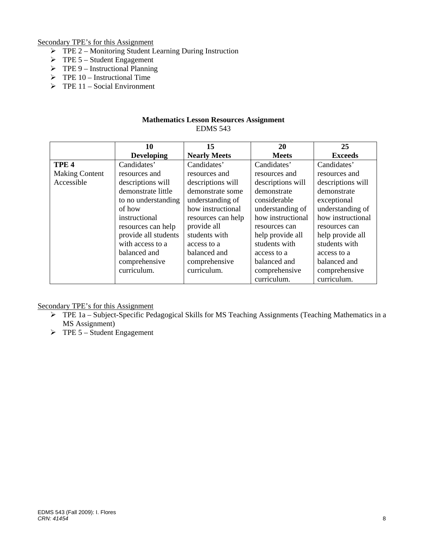Secondary TPE's for this Assignment

- $\triangleright$  TPE 2 Monitoring Student Learning During Instruction
- $\triangleright$  TPE 5 Student Engagement
- $\triangleright$  TPE 9 Instructional Planning
- $\triangleright$  TPE 10 Instructional Time
- $\triangleright$  TPE 11 Social Environment

### **Mathematics Lesson Resources Assignment**  EDMS 543

|                       | 10                   | 15                  | 20                | 25                |
|-----------------------|----------------------|---------------------|-------------------|-------------------|
|                       | <b>Developing</b>    | <b>Nearly Meets</b> | <b>Meets</b>      | <b>Exceeds</b>    |
| TPE <sub>4</sub>      | Candidates'          | Candidates'         | Candidates'       | Candidates'       |
| <b>Making Content</b> | resources and        | resources and       | resources and     | resources and     |
| Accessible            | descriptions will    | descriptions will   | descriptions will | descriptions will |
|                       | demonstrate little   | demonstrate some    | demonstrate       | demonstrate       |
|                       | to no understanding  | understanding of    | considerable      | exceptional       |
|                       | of how               | how instructional   | understanding of  | understanding of  |
|                       | instructional        | resources can help  | how instructional | how instructional |
|                       | resources can help   | provide all         | resources can     | resources can     |
|                       | provide all students | students with       | help provide all  | help provide all  |
|                       | with access to a     | access to a         | students with     | students with     |
|                       | balanced and         | balanced and        | access to a       | access to a       |
|                       | comprehensive        | comprehensive       | balanced and      | balanced and      |
|                       | curriculum.          | curriculum.         | comprehensive     | comprehensive     |
|                       |                      |                     | curriculum.       | curriculum.       |

Secondary TPE's for this Assignment

- $\triangleright$  TPE 1a Subject-Specific Pedagogical Skills for MS Teaching Assignments (Teaching Mathematics in a MS Assignment)
- $\triangleright$  TPE 5 Student Engagement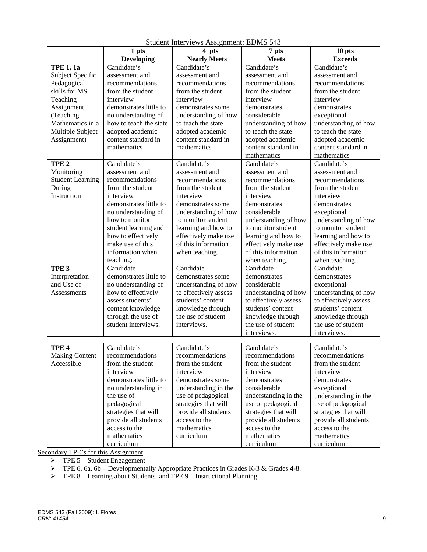|                         | 1 pts                  | 4 pts                 | 7 pts                 | 10 pts                |  |
|-------------------------|------------------------|-----------------------|-----------------------|-----------------------|--|
|                         | <b>Developing</b>      | <b>Nearly Meets</b>   | <b>Meets</b>          | <b>Exceeds</b>        |  |
| <b>TPE 1, 1a</b>        | Candidate's            | Candidate's           | Candidate's           | Candidate's           |  |
| Subject Specific        | assessment and         | assessment and        | assessment and        | assessment and        |  |
| Pedagogical             | recommendations        | recommendations       | recommendations       | recommendations       |  |
| skills for MS           | from the student       | from the student      | from the student      | from the student      |  |
| Teaching                | interview              | interview             | interview             | interview             |  |
| Assignment              | demonstrates little to | demonstrates some     | demonstrates          | demonstrates          |  |
| (Teaching               | no understanding of    | understanding of how  | considerable          | exceptional           |  |
| Mathematics in a        | how to teach the state | to teach the state    | understanding of how  | understanding of how  |  |
| Multiple Subject        | adopted academic       | adopted academic      | to teach the state    | to teach the state    |  |
| Assignment)             | content standard in    | content standard in   | adopted academic      | adopted academic      |  |
|                         | mathematics            | mathematics           | content standard in   | content standard in   |  |
|                         |                        |                       | mathematics           | mathematics           |  |
| TPE <sub>2</sub>        | Candidate's            | Candidate's           | Candidate's           | Candidate's           |  |
| Monitoring              | assessment and         | assessment and        | assessment and        | assessment and        |  |
| <b>Student Learning</b> | recommendations        | recommendations       | recommendations       | recommendations       |  |
| During                  | from the student       | from the student      | from the student      | from the student      |  |
| Instruction             | interview              | interview             | interview             | interview             |  |
|                         | demonstrates little to | demonstrates some     | demonstrates          | demonstrates          |  |
|                         | no understanding of    | understanding of how  | considerable          | exceptional           |  |
|                         | how to monitor         | to monitor student    | understanding of how  | understanding of how  |  |
|                         | student learning and   | learning and how to   | to monitor student    | to monitor student    |  |
|                         | how to effectively     | effectively make use  | learning and how to   | learning and how to   |  |
|                         | make use of this       | of this information   | effectively make use  | effectively make use  |  |
|                         | information when       | when teaching.        | of this information   | of this information   |  |
|                         | teaching.              |                       | when teaching.        | when teaching.        |  |
| TPE <sub>3</sub>        | Candidate              | Candidate             | Candidate             | Candidate             |  |
| Interpretation          | demonstrates little to | demonstrates some     | demonstrates          | demonstrates          |  |
| and Use of              | no understanding of    | understanding of how  | considerable          | exceptional           |  |
| <b>Assessments</b>      | how to effectively     | to effectively assess | understanding of how  | understanding of how  |  |
|                         | assess students'       | students' content     | to effectively assess | to effectively assess |  |
|                         | content knowledge      | knowledge through     | students' content     | students' content     |  |
|                         | through the use of     | the use of student    | knowledge through     | knowledge through     |  |
|                         | student interviews.    | interviews.           | the use of student    | the use of student    |  |
|                         |                        |                       | interviews.           | interviews.           |  |
|                         |                        |                       |                       |                       |  |
| TPE <sub>4</sub>        | Candidate's            | Candidate's           | Candidate's           | Candidate's           |  |
| <b>Making Content</b>   | recommendations        | recommendations       | recommendations       | recommendations       |  |
| Accessible              | from the student       | from the student      | from the student      | from the student      |  |
|                         | interview              | interview             | interview             | interview             |  |
|                         | demonstrates little to | demonstrates some     | demonstrates          | demonstrates          |  |
|                         | no understanding in    | understanding in the  | considerable          | exceptional           |  |
|                         | the use of             | use of pedagogical    | understanding in the  | understanding in the  |  |
|                         | pedagogical            | strategies that will  | use of pedagogical    | use of pedagogical    |  |
|                         | strategies that will   | provide all students  | strategies that will  | strategies that will  |  |
|                         | provide all students   | access to the         | provide all students  | provide all students  |  |
|                         | access to the          | mathematics           | access to the         | access to the         |  |
|                         | mathematics            | curriculum            | mathematics           | mathematics           |  |
|                         | curriculum             |                       | curriculum            | curriculum            |  |

Student Interviews Assignment: EDMS 543

Secondary TPE's for this Assignment

 $\triangleright$  TPE 5 – Student Engagement

 $\triangleright$  TPE 6, 6a, 6b – Developmentally Appropriate Practices in Grades K-3 & Grades 4-8.

 $\triangleright$  TPE 8 – Learning about Students and TPE 9 – Instructional Planning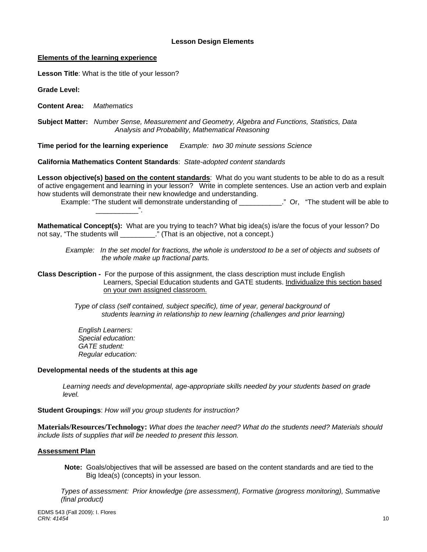### **Lesson Design Elements**

#### **Elements of the learning experience**

**Lesson Title**: What is the title of your lesson?

**Grade Level:** 

**Content Area:** *Mathematics* 

 **Subject Matter:** *Number Sense, Measurement and Geometry, Algebra and Functions, Statistics, Data Analysis and Probability, Mathematical Reasoning* 

Time period for the learning experience **Example: two 30 minute sessions Science** 

**California Mathematics Content Standards**: *State-adopted content standards* 

**Lesson objective(s) based on the content standards**: What do you want students to be able to do as a result of active engagement and learning in your lesson? Write in complete sentences. Use an action verb and explain how students will demonstrate their new knowledge and understanding.

 Example: "The student will demonstrate understanding of \_\_\_\_\_\_\_\_\_\_\_." Or, "The student will be able to \_\_\_\_\_\_\_\_\_\_\_".

**Mathematical Concept(s):** What are you trying to teach? What big idea(s) is/are the focus of your lesson? Do not say, "The students will \_\_\_\_\_\_\_\_\_." (That is an objective, not a concept.)

*Example: In the set model for fractions, the whole is understood to be a set of objects and subsets of the whole make up fractional parts.* 

**Class Description -** For the purpose of this assignment, the class description must include English Learners, Special Education students and GATE students. Individualize this section based on your own assigned classroom.

> *Type of class (self contained, subject specific), time of year, general background of students learning in relationship to new learning (challenges and prior learning)*

*English Learners: Special education: GATE student: Regular education:* 

### **Developmental needs of the students at this age**

*Learning needs and developmental, age-appropriate skills needed by your students based on grade level.* 

**Student Groupings**: *How will you group students for instruction?* 

**Materials/Resources/Technology:** *What does the teacher need? What do the students need? Materials should include lists of supplies that will be needed to present this lesson.* 

#### **Assessment Plan**

**Note:** Goals/objectives that will be assessed are based on the content standards and are tied to the Big Idea(s) (concepts) in your lesson.

 *Types of assessment: Prior knowledge (pre assessment), Formative (progress monitoring), Summative (final product)*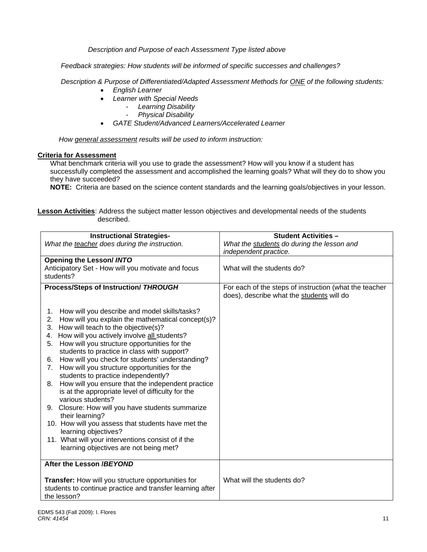*Description and Purpose of each Assessment Type listed above* 

 *Feedback strategies: How students will be informed of specific successes and challenges?*

 *Description & Purpose of Differentiated/Adapted Assessment Methods for ONE of the following students:* 

- *English Learner*
- *Learner with Special Needs* 
	- *Learning Disability* 
		- *Physical Disability*
- *GATE Student/Advanced Learners/Accelerated Learner*

*How general assessment results will be used to inform instruction:* 

### **Criteria for Assessment**

What benchmark criteria will you use to grade the assessment? How will you know if a student has successfully completed the assessment and accomplished the learning goals? What will they do to show you they have succeeded?

**NOTE:** Criteria are based on the science content standards and the learning goals/objectives in your lesson.

**Lesson Activities**: Address the subject matter lesson objectives and developmental needs of the students described.

| <b>Instructional Strategies-</b>                                                         | <b>Student Activities -</b>                            |
|------------------------------------------------------------------------------------------|--------------------------------------------------------|
| What the teacher does during the instruction.                                            | What the students do during the lesson and             |
|                                                                                          | independent practice.                                  |
| <b>Opening the Lesson/ INTO</b>                                                          |                                                        |
| Anticipatory Set - How will you motivate and focus                                       | What will the students do?                             |
| students?                                                                                |                                                        |
|                                                                                          |                                                        |
| <b>Process/Steps of Instruction/ THROUGH</b>                                             | For each of the steps of instruction (what the teacher |
|                                                                                          | does), describe what the students will do              |
|                                                                                          |                                                        |
| How will you describe and model skills/tasks?<br>1.                                      |                                                        |
| How will you explain the mathematical concept(s)?<br>2.<br>3.                            |                                                        |
| How will teach to the objective(s)?<br>How will you actively involve all students?<br>4. |                                                        |
| How will you structure opportunities for the<br>5.                                       |                                                        |
| students to practice in class with support?                                              |                                                        |
| How will you check for students' understanding?<br>6.                                    |                                                        |
| How will you structure opportunities for the<br>7 <sub>1</sub>                           |                                                        |
| students to practice independently?                                                      |                                                        |
| How will you ensure that the independent practice<br>8.                                  |                                                        |
| is at the appropriate level of difficulty for the                                        |                                                        |
| various students?                                                                        |                                                        |
| 9. Closure: How will you have students summarize                                         |                                                        |
| their learning?                                                                          |                                                        |
| 10. How will you assess that students have met the                                       |                                                        |
| learning objectives?                                                                     |                                                        |
| 11. What will your interventions consist of if the                                       |                                                        |
| learning objectives are not being met?                                                   |                                                        |
|                                                                                          |                                                        |
| After the Lesson /BEYOND                                                                 |                                                        |
|                                                                                          |                                                        |
| Transfer: How will you structure opportunities for                                       | What will the students do?                             |
| students to continue practice and transfer learning after                                |                                                        |
| the lesson?                                                                              |                                                        |
|                                                                                          |                                                        |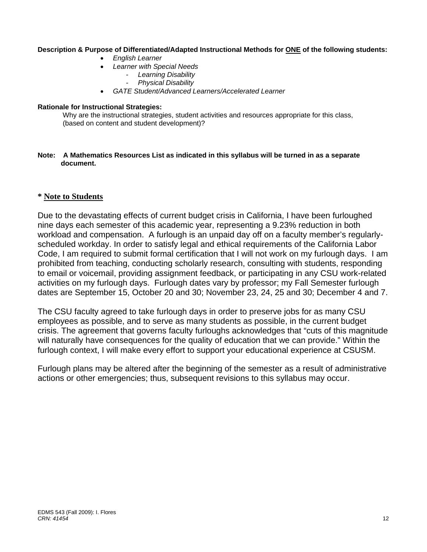### **Description & Purpose of Differentiated/Adapted Instructional Methods for ONE of the following students:**

- *English Learner*
- *Learner with Special Needs* 
	- *Learning Disability* 
		- *Physical Disability*
- *GATE Student/Advanced Learners/Accelerated Learner*

### **Rationale for Instructional Strategies:**

Why are the instructional strategies, student activities and resources appropriate for this class, (based on content and student development)?

### **Note: A Mathematics Resources List as indicated in this syllabus will be turned in as a separate document.**

# **\* Note to Students**

Due to the devastating effects of current budget crisis in California, I have been furloughed nine days each semester of this academic year, representing a 9.23% reduction in both workload and compensation. A furlough is an unpaid day off on a faculty member's regularlyscheduled workday. In order to satisfy legal and ethical requirements of the California Labor Code, I am required to submit formal certification that I will not work on my furlough days. I am prohibited from teaching, conducting scholarly research, consulting with students, responding to email or voicemail, providing assignment feedback, or participating in any CSU work-related activities on my furlough days. Furlough dates vary by professor; my Fall Semester furlough dates are September 15, October 20 and 30; November 23, 24, 25 and 30; December 4 and 7.

The CSU faculty agreed to take furlough days in order to preserve jobs for as many CSU employees as possible, and to serve as many students as possible, in the current budget crisis. The agreement that governs faculty furloughs acknowledges that "cuts of this magnitude will naturally have consequences for the quality of education that we can provide." Within the furlough context, I will make every effort to support your educational experience at CSUSM.

Furlough plans may be altered after the beginning of the semester as a result of administrative actions or other emergencies; thus, subsequent revisions to this syllabus may occur.